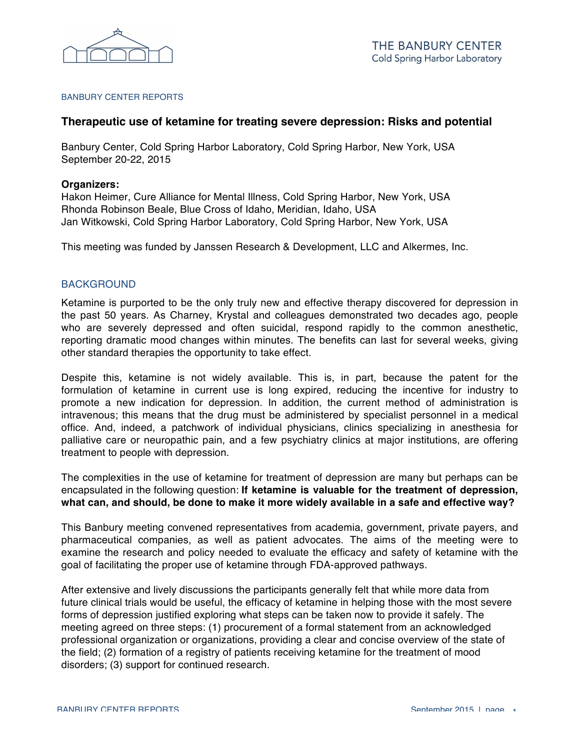

#### BANBURY CENTER REPORTS

## **Therapeutic use of ketamine for treating severe depression: Risks and potential**

Banbury Center, Cold Spring Harbor Laboratory, Cold Spring Harbor, New York, USA September 20-22, 2015

#### **Organizers:**

Hakon Heimer, Cure Alliance for Mental Illness, Cold Spring Harbor, New York, USA Rhonda Robinson Beale, Blue Cross of Idaho, Meridian, Idaho, USA Jan Witkowski, Cold Spring Harbor Laboratory, Cold Spring Harbor, New York, USA

This meeting was funded by Janssen Research & Development, LLC and Alkermes, Inc.

### **BACKGROUND**

Ketamine is purported to be the only truly new and effective therapy discovered for depression in the past 50 years. As Charney, Krystal and colleagues demonstrated two decades ago, people who are severely depressed and often suicidal, respond rapidly to the common anesthetic, reporting dramatic mood changes within minutes. The benefits can last for several weeks, giving other standard therapies the opportunity to take effect.

Despite this, ketamine is not widely available. This is, in part, because the patent for the formulation of ketamine in current use is long expired, reducing the incentive for industry to promote a new indication for depression. In addition, the current method of administration is intravenous; this means that the drug must be administered by specialist personnel in a medical office. And, indeed, a patchwork of individual physicians, clinics specializing in anesthesia for palliative care or neuropathic pain, and a few psychiatry clinics at major institutions, are offering treatment to people with depression.

The complexities in the use of ketamine for treatment of depression are many but perhaps can be encapsulated in the following question: **If ketamine is valuable for the treatment of depression, what can, and should, be done to make it more widely available in a safe and effective way?**

This Banbury meeting convened representatives from academia, government, private payers, and pharmaceutical companies, as well as patient advocates. The aims of the meeting were to examine the research and policy needed to evaluate the efficacy and safety of ketamine with the goal of facilitating the proper use of ketamine through FDA-approved pathways.

After extensive and lively discussions the participants generally felt that while more data from future clinical trials would be useful, the efficacy of ketamine in helping those with the most severe forms of depression justified exploring what steps can be taken now to provide it safely. The meeting agreed on three steps: (1) procurement of a formal statement from an acknowledged professional organization or organizations, providing a clear and concise overview of the state of the field; (2) formation of a registry of patients receiving ketamine for the treatment of mood disorders; (3) support for continued research.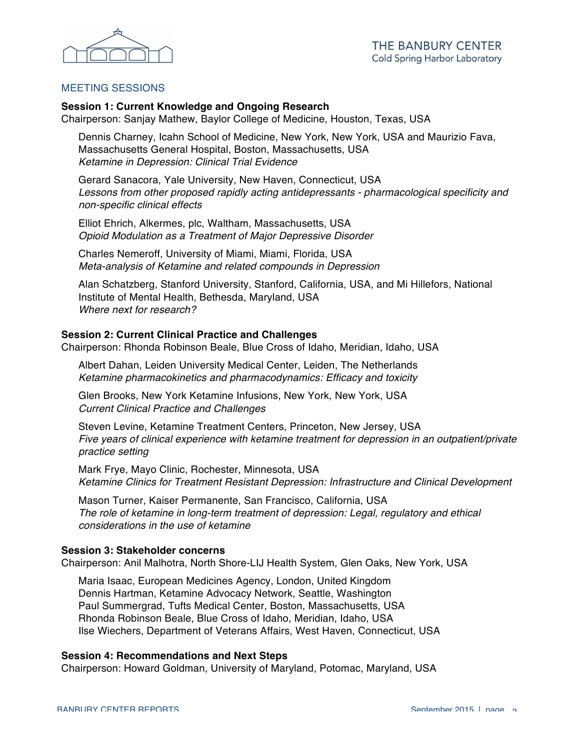

## MEETING SESSIONS

### **Session 1: Current Knowledge and Ongoing Research**

Chairperson: Sanjay Mathew, Baylor College of Medicine, Houston, Texas, USA

Dennis Charney, Icahn School of Medicine, New York, New York, USA and Maurizio Fava, Massachusetts General Hospital, Boston, Massachusetts, USA *Ketamine in Depression: Clinical Trial Evidence*

Gerard Sanacora, Yale University, New Haven, Connecticut, USA Lessons from other proposed rapidly acting antidepressants - pharmacological specificity and *non-specific clinical effects*

Elliot Ehrich, Alkermes, plc, Waltham, Massachusetts, USA *Opioid Modulation as a Treatment of Major Depressive Disorder*

Charles Nemeroff, University of Miami, Miami, Florida, USA *Meta-analysis of Ketamine and related compounds in Depression*

Alan Schatzberg, Stanford University, Stanford, California, USA, and Mi Hillefors, National Institute of Mental Health, Bethesda, Maryland, USA *Where next for research?*

# **Session 2: Current Clinical Practice and Challenges**

Chairperson: Rhonda Robinson Beale, Blue Cross of Idaho, Meridian, Idaho, USA

Albert Dahan, Leiden University Medical Center, Leiden, The Netherlands *Ketamine pharmacokinetics and pharmacodynamics: Efficacy and toxicity*

Glen Brooks, New York Ketamine Infusions, New York, New York, USA *Current Clinical Practice and Challenges*

Steven Levine, Ketamine Treatment Centers, Princeton, New Jersey, USA *Five years of clinical experience with ketamine treatment for depression in an outpatient/private practice setting*

Mark Frye, Mayo Clinic, Rochester, Minnesota, USA *Ketamine Clinics for Treatment Resistant Depression: Infrastructure and Clinical Development*

Mason Turner, Kaiser Permanente, San Francisco, California, USA *The role of ketamine in long-term treatment of depression: Legal, regulatory and ethical considerations in the use of ketamine*

#### **Session 3: Stakeholder concerns**

Chairperson: Anil Malhotra, North Shore-LIJ Health System, Glen Oaks, New York, USA

Maria Isaac, European Medicines Agency, London, United Kingdom Dennis Hartman, Ketamine Advocacy Network, Seattle, Washington Paul Summergrad, Tufts Medical Center, Boston, Massachusetts, USA Rhonda Robinson Beale, Blue Cross of Idaho, Meridian, Idaho, USA Ilse Wiechers, Department of Veterans Affairs, West Haven, Connecticut, USA

#### **Session 4: Recommendations and Next Steps**

Chairperson: Howard Goldman, University of Maryland, Potomac, Maryland, USA